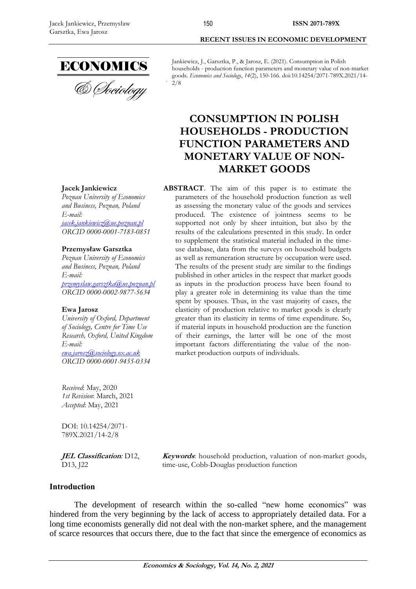

Jankiewicz, J., Garsztka, P., & Jarosz, E. (2021). Consumption in Polish households - production function parameters and monetary value of non-market goods. *Economics and Sociology*, *14*(2), 150-166. doi:10.14254/2071-789X.2021/14- 2/8

# **CONSUMPTION IN POLISH HOUSEHOLDS - PRODUCTION FUNCTION PARAMETERS AND MONETARY VALUE OF NON-MARKET GOODS**

**ABSTRACT**. The aim of this paper is to estimate the parameters of the household production function as well as assessing the monetary value of the goods and services produced. The existence of jointness seems to be supported not only by sheer intuition, but also by the results of the calculations presented in this study. In order to supplement the statistical material included in the timeuse database, data from the surveys on household budgets as well as remuneration structure by occupation were used. The results of the present study are similar to the findings published in other articles in the respect that market goods as inputs in the production process have been found to play a greater role in determining its value than the time spent by spouses. Thus, in the vast majority of cases, the elasticity of production relative to market goods is clearly greater than its elasticity in terms of time expenditure. So, if material inputs in household production are the function of their earnings, the latter will be one of the most important factors differentiating the value of the nonmarket production outputs of individuals.

**Jacek Jankiewicz**

*Poznan University of Economics and Business, Poznan, Poland E-mail: [jacek.jankiewicz@ue.poznan.pl](mailto:jacek.jankiewicz@ue.poznan.pl) ORCID 0000-0001-7183-0851*

### **Przemysław Garsztka**

*Poznan University of Economics and Business, Poznan, Poland E-mail: [przemyslaw.garsztka@ue.poznan.pl](mailto:przemyslaw.garsztka@ue.poznan.pl) ORCID 0000-0002-9877-5634*

### **Ewa Jarosz**

*University of Oxford, Department of Sociology, Centre for Time Use Research, Oxford, United Kingdom E-mail: [ewa.jarosz@sociology.ox.ac.uk](mailto:ewa.jarosz@sociology.ox.ac.uk) ORCID 0000-0001-9455-0334*

*Received*: May, 2020 *1st Revision*: March, 2021 *Accepted*: May, 2021

DOI: 10.14254/2071- 789X.2021/14-2/8

**JEL Classification***:* D12, D<sub>13</sub>, I<sub>22</sub>

**Keywords**: household production, valuation of non-market goods, time-use, Cobb-Douglas production function

### **Introduction**

The development of research within the so-called "new home economics" was hindered from the very beginning by the lack of access to appropriately detailed data. For a long time economists generally did not deal with the non-market sphere, and the management of scarce resources that occurs there, due to the fact that since the emergence of economics as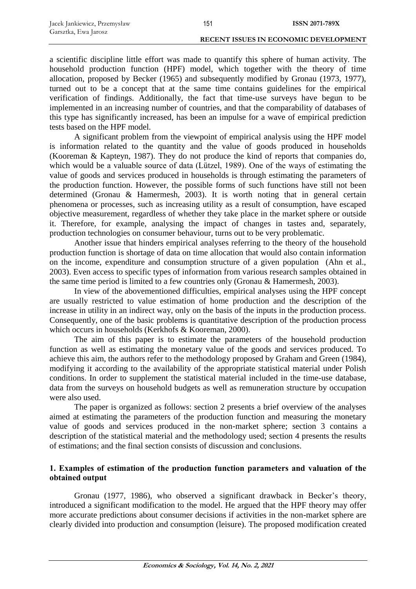a scientific discipline little effort was made to quantify this sphere of human activity. The household production function (HPF) model, which together with the theory of time allocation, proposed by Becker (1965) and subsequently modified by Gronau (1973, 1977), turned out to be a concept that at the same time contains guidelines for the empirical verification of findings. Additionally, the fact that time-use surveys have begun to be implemented in an increasing number of countries, and that the comparability of databases of this type has significantly increased, has been an impulse for a wave of empirical prediction tests based on the HPF model.

151

A significant problem from the viewpoint of empirical analysis using the HPF model is information related to the quantity and the value of goods produced in households (Kooreman & Kapteyn, 1987). They do not produce the kind of reports that companies do, which would be a valuable source of data (Lützel, 1989). One of the ways of estimating the value of goods and services produced in households is through estimating the parameters of the production function. However, the possible forms of such functions have still not been determined (Gronau & Hamermesh, 2003). It is worth noting that in general certain phenomena or processes, such as increasing utility as a result of consumption, have escaped objective measurement, regardless of whether they take place in the market sphere or outside it. Therefore, for example, analysing the impact of changes in tastes and, separately, production technologies on consumer behaviour, turns out to be very problematic.

Another issue that hinders empirical analyses referring to the theory of the household production function is shortage of data on time allocation that would also contain information on the income, expenditure and consumption structure of a given population (Ahn et al., 2003). Even access to specific types of information from various research samples obtained in the same time period is limited to a few countries only (Gronau & Hamermesh, 2003).

In view of the abovementioned difficulties, empirical analyses using the HPF concept are usually restricted to value estimation of home production and the description of the increase in utility in an indirect way, only on the basis of the inputs in the production process. Consequently, one of the basic problems is quantitative description of the production process which occurs in households (Kerkhofs & Kooreman, 2000).

The aim of this paper is to estimate the parameters of the household production function as well as estimating the monetary value of the goods and services produced. To achieve this aim, the authors refer to the methodology proposed by Graham and Green (1984), modifying it according to the availability of the appropriate statistical material under Polish conditions. In order to supplement the statistical material included in the time-use database, data from the surveys on household budgets as well as remuneration structure by occupation were also used.

The paper is organized as follows: section 2 presents a brief overview of the analyses aimed at estimating the parameters of the production function and measuring the monetary value of goods and services produced in the non-market sphere; section 3 contains a description of the statistical material and the methodology used; section 4 presents the results of estimations; and the final section consists of discussion and conclusions.

# **1. Examples of estimation of the production function parameters and valuation of the obtained output**

Gronau (1977, 1986), who observed a significant drawback in Becker's theory, introduced a significant modification to the model. He argued that the HPF theory may offer more accurate predictions about consumer decisions if activities in the non-market sphere are clearly divided into production and consumption (leisure). The proposed modification created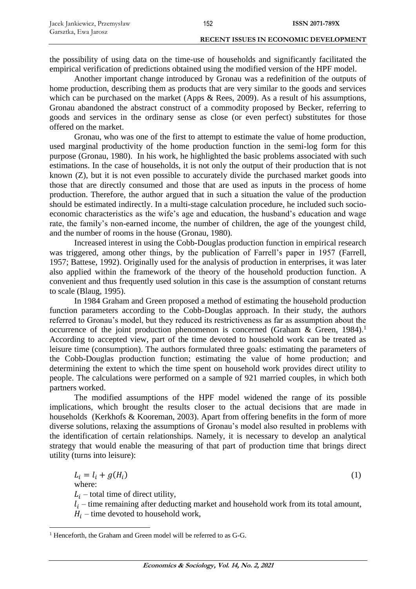the possibility of using data on the time-use of households and significantly facilitated the empirical verification of predictions obtained using the modified version of the HPF model.

Another important change introduced by Gronau was a redefinition of the outputs of home production, describing them as products that are very similar to the goods and services which can be purchased on the market (Apps & Rees, 2009). As a result of his assumptions, Gronau abandoned the abstract construct of a commodity proposed by Becker, referring to goods and services in the ordinary sense as close (or even perfect) substitutes for those offered on the market.

Gronau, who was one of the first to attempt to estimate the value of home production, used marginal productivity of the home production function in the semi-log form for this purpose (Gronau, 1980). In his work, he highlighted the basic problems associated with such estimations. In the case of households, it is not only the output of their production that is not known (Z), but it is not even possible to accurately divide the purchased market goods into those that are directly consumed and those that are used as inputs in the process of home production. Therefore, the author argued that in such a situation the value of the production should be estimated indirectly. In a multi-stage calculation procedure, he included such socioeconomic characteristics as the wife's age and education, the husband's education and wage rate, the family's non-earned income, the number of children, the age of the youngest child, and the number of rooms in the house (Gronau, 1980).

Increased interest in using the Cobb-Douglas production function in empirical research was triggered, among other things, by the publication of Farrell's paper in 1957 (Farrell, 1957; Battese, 1992). Originally used for the analysis of production in enterprises, it was later also applied within the framework of the theory of the household production function. A convenient and thus frequently used solution in this case is the assumption of constant returns to scale (Blaug, 1995).

In 1984 Graham and Green proposed a method of estimating the household production function parameters according to the Cobb-Douglas approach. In their study, the authors referred to Gronau's model, but they reduced its restrictiveness as far as assumption about the occurrence of the joint production phenomenon is concerned (Graham & Green, 1984).<sup>1</sup> According to accepted view, part of the time devoted to household work can be treated as leisure time (consumption). The authors formulated three goals: estimating the parameters of the Cobb-Douglas production function; estimating the value of home production; and determining the extent to which the time spent on household work provides direct utility to people. The calculations were performed on a sample of 921 married couples, in which both partners worked.

The modified assumptions of the HPF model widened the range of its possible implications, which brought the results closer to the actual decisions that are made in households (Kerkhofs & Kooreman, 2003). Apart from offering benefits in the form of more diverse solutions, relaxing the assumptions of Gronau's model also resulted in problems with the identification of certain relationships. Namely, it is necessary to develop an analytical strategy that would enable the measuring of that part of production time that brings direct utility (turns into leisure):

$$
L_i = l_i + g(H_i)
$$
\n(1)

\nwhere:

\n
$$
L_i - \text{total time of direct utility},
$$
\n
$$
l_i - \text{time remaining after deducting market and household work from its total amount},
$$

 $H_i$  – time devoted to household work,

1

 $1$  Henceforth, the Graham and Green model will be referred to as G-G.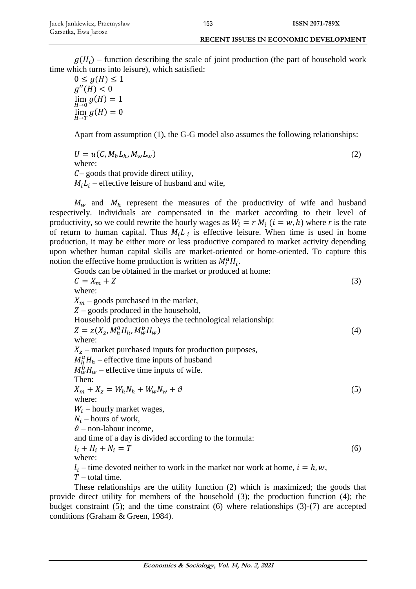$g(H_i)$  – function describing the scale of joint production (the part of household work time which turns into leisure), which satisfied:

 $0 \leq g(H) \leq 1$  $q''(H) < 0$  $\lim_{H\to 0} g(H) = 1$  $\lim_{H\to T} g(H) = 0$ 

Apart from assumption (1), the G-G model also assumes the following relationships:

$$
U = u(C, M_h L_h, M_w L_w)
$$
  
where: (2)

 $C$ – goods that provide direct utility,

 $M_i L_i$  – effective leisure of husband and wife,

 $M_w$  and  $M_h$  represent the measures of the productivity of wife and husband respectively. Individuals are compensated in the market according to their level of productivity, so we could rewrite the hourly wages as  $W_i = r M_i$  ( $i = w, h$ ) where r is the rate of return to human capital. Thus  $M_i L_i$  is effective leisure. When time is used in home production, it may be either more or less productive compared to market activity depending upon whether human capital skills are market-oriented or home-oriented. To capture this notion the effective home production is written as  $M_i^a H_i$ .

Goods can be obtained in the market or produced at home:  
\n
$$
C = X_m + Z
$$
\nwhere:  
\n
$$
X_m - \text{ goods purchased in the market},
$$
\n
$$
Z - \text{ goods produced in the household},
$$
\nHousehold production obeys the technological relationship:  
\n
$$
Z = z(X_z, M_h^a H_h, M_w^b H_w)
$$
\n(4)  
\nwhere:  
\n
$$
X_z - \text{market purchased inputs for production purposes},
$$
\n
$$
M_h^a H_h - \text{effective time inputs of husband}
$$
\n
$$
M_w^b H_w - \text{effective time inputs of wife}.
$$
\nThen:  
\n
$$
X_m + X_z = W_h N_h + W_w N_w + \vartheta
$$
\n(5)  
\nwhere:  
\n
$$
W_i - \text{hourly market wages},
$$
\n
$$
N_i - \text{hourly market wages},
$$
\n
$$
\vartheta - \text{non-labour income},
$$
\nand time of a day is divided according to the formula:  
\n
$$
l_i + H_i + N_i = T
$$
\nwhere:  
\n
$$
l_i - \text{time devoted neither to work in the market nor work at home, } i = h, w,
$$
\n
$$
T - \text{total time}.
$$

These relationships are the utility function (2) which is maximized; the goods that provide direct utility for members of the household (3); the production function (4); the budget constraint (5); and the time constraint (6) where relationships (3)-(7) are accepted conditions (Graham & Green, 1984).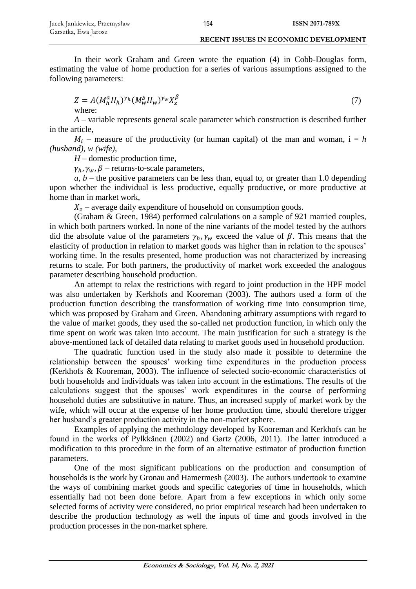In their work Graham and Green wrote the equation (4) in Cobb-Douglas form, estimating the value of home production for a series of various assumptions assigned to the following parameters:

$$
Z = A(M_h^a H_h)^{\gamma_h} (M_w^b H_w)^{\gamma_w} X_z^{\beta}
$$
  
where: (7)

*A* – variable represents general scale parameter which construction is described further in the article,

 $M_i$  – measure of the productivity (or human capital) of the man and woman,  $i = h$ *(husband)*, *w (wife)*,

*H* – domestic production time,

 $\gamma_h$ ,  $\gamma_w$ ,  $\beta$  – returns-to-scale parameters,

 $a, b$  – the positive parameters can be less than, equal to, or greater than 1.0 depending upon whether the individual is less productive, equally productive, or more productive at home than in market work,

 $X<sub>z</sub>$  – average daily expenditure of household on consumption goods.

(Graham & Green, 1984) performed calculations on a sample of 921 married couples, in which both partners worked. In none of the nine variants of the model tested by the authors did the absolute value of the parameters  $\gamma_h$ ,  $\gamma_w$  exceed the value of  $\beta$ . This means that the elasticity of production in relation to market goods was higher than in relation to the spouses' working time. In the results presented, home production was not characterized by increasing returns to scale. For both partners, the productivity of market work exceeded the analogous parameter describing household production.

An attempt to relax the restrictions with regard to joint production in the HPF model was also undertaken by Kerkhofs and Kooreman (2003). The authors used a form of the production function describing the transformation of working time into consumption time, which was proposed by Graham and Green. Abandoning arbitrary assumptions with regard to the value of market goods, they used the so-called net production function, in which only the time spent on work was taken into account. The main justification for such a strategy is the above-mentioned lack of detailed data relating to market goods used in household production.

The quadratic function used in the study also made it possible to determine the relationship between the spouses' working time expenditures in the production process (Kerkhofs & Kooreman, 2003). The influence of selected socio-economic characteristics of both households and individuals was taken into account in the estimations. The results of the calculations suggest that the spouses' work expenditures in the course of performing household duties are substitutive in nature. Thus, an increased supply of market work by the wife, which will occur at the expense of her home production time, should therefore trigger her husband's greater production activity in the non-market sphere.

Examples of applying the methodology developed by Kooreman and Kerkhofs can be found in the works of Pylkkänen (2002) and Gørtz (2006, 2011). The latter introduced a modification to this procedure in the form of an alternative estimator of production function parameters.

One of the most significant publications on the production and consumption of households is the work by Gronau and Hamermesh (2003). The authors undertook to examine the ways of combining market goods and specific categories of time in households, which essentially had not been done before. Apart from a few exceptions in which only some selected forms of activity were considered, no prior empirical research had been undertaken to describe the production technology as well the inputs of time and goods involved in the production processes in the non-market sphere.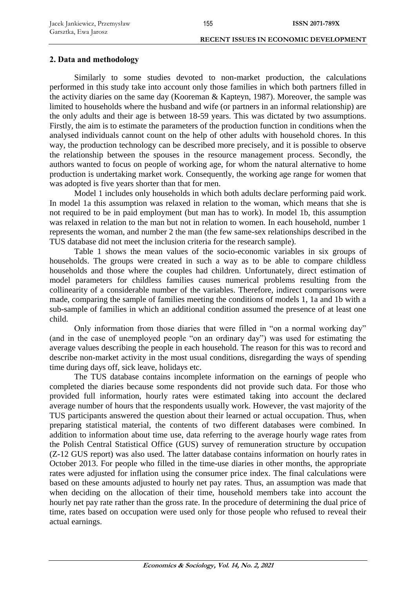# **2. Data and methodology**

Similarly to some studies devoted to non-market production, the calculations performed in this study take into account only those families in which both partners filled in the activity diaries on the same day (Kooreman & Kapteyn, 1987). Moreover, the sample was limited to households where the husband and wife (or partners in an informal relationship) are the only adults and their age is between 18-59 years. This was dictated by two assumptions. Firstly, the aim is to estimate the parameters of the production function in conditions when the analysed individuals cannot count on the help of other adults with household chores. In this way, the production technology can be described more precisely, and it is possible to observe the relationship between the spouses in the resource management process. Secondly, the authors wanted to focus on people of working age, for whom the natural alternative to home production is undertaking market work. Consequently, the working age range for women that was adopted is five years shorter than that for men.

Model 1 includes only households in which both adults declare performing paid work. In model 1a this assumption was relaxed in relation to the woman, which means that she is not required to be in paid employment (but man has to work). In model 1b, this assumption was relaxed in relation to the man but not in relation to women. In each household, number 1 represents the woman, and number 2 the man (the few same-sex relationships described in the TUS database did not meet the inclusion criteria for the research sample).

Table 1 shows the mean values of the socio-economic variables in six groups of households. The groups were created in such a way as to be able to compare childless households and those where the couples had children. Unfortunately, direct estimation of model parameters for childless families causes numerical problems resulting from the collinearity of a considerable number of the variables. Therefore, indirect comparisons were made, comparing the sample of families meeting the conditions of models 1, 1a and 1b with a sub-sample of families in which an additional condition assumed the presence of at least one child.

Only information from those diaries that were filled in "on a normal working day" (and in the case of unemployed people "on an ordinary day") was used for estimating the average values describing the people in each household. The reason for this was to record and describe non-market activity in the most usual conditions, disregarding the ways of spending time during days off, sick leave, holidays etc.

The TUS database contains incomplete information on the earnings of people who completed the diaries because some respondents did not provide such data. For those who provided full information, hourly rates were estimated taking into account the declared average number of hours that the respondents usually work. However, the vast majority of the TUS participants answered the question about their learned or actual occupation. Thus, when preparing statistical material, the contents of two different databases were combined. In addition to information about time use, data referring to the average hourly wage rates from the Polish Central Statistical Office (GUS) survey of remuneration structure by occupation (Z-12 GUS report) was also used. The latter database contains information on hourly rates in October 2013. For people who filled in the time-use diaries in other months, the appropriate rates were adjusted for inflation using the consumer price index. The final calculations were based on these amounts adjusted to hourly net pay rates. Thus, an assumption was made that when deciding on the allocation of their time, household members take into account the hourly net pay rate rather than the gross rate. In the procedure of determining the dual price of time, rates based on occupation were used only for those people who refused to reveal their actual earnings.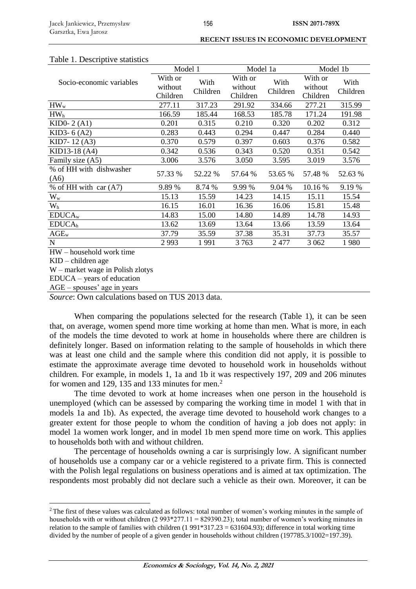# Table 1. Descriptive statistics

| raone 1. Descriptive statistics    |          |          |          |          |          |          |  |
|------------------------------------|----------|----------|----------|----------|----------|----------|--|
|                                    | Model 1  |          | Model 1a |          | Model 1b |          |  |
| Socio-economic variables           | With or  | With     | With or  | With     | With or  | With     |  |
|                                    | without  | Children | without  | Children | without  | Children |  |
|                                    | Children |          | Children |          | Children |          |  |
| $HW_{w}$                           | 277.11   | 317.23   | 291.92   | 334.66   | 277.21   | 315.99   |  |
| HW <sub>h</sub>                    | 166.59   | 185.44   | 168.53   | 185.78   | 171.24   | 191.98   |  |
| KID0- $2(A1)$                      | 0.201    | 0.315    | 0.210    | 0.320    | 0.202    | 0.312    |  |
| KID3- $6(A2)$                      | 0.283    | 0.443    | 0.294    | 0.447    | 0.284    | 0.440    |  |
| KID7-12(A3)                        | 0.370    | 0.579    | 0.397    | 0.603    | 0.376    | 0.582    |  |
| KID13-18 (A4)                      | 0.342    | 0.536    | 0.343    | 0.520    | 0.351    | 0.542    |  |
| Family size (A5)                   | 3.006    | 3.576    | 3.050    | 3.595    | 3.019    | 3.576    |  |
| % of HH with dishwasher            | 57.33 %  | 52.22 %  | 57.64 %  | 53.65 %  | 57.48 %  | 52.63 %  |  |
| (A6)                               |          |          |          |          |          |          |  |
| % of HH with car $(A7)$            | 9.89%    | 8.74 %   | 9.99 %   | 9.04 %   | 10.16 %  | 9.19 %   |  |
| $W_w$                              | 15.13    | 15.59    | 14.23    | 14.15    | 15.11    | 15.54    |  |
| W <sub>h</sub>                     | 16.15    | 16.01    | 16.36    | 16.06    | 15.81    | 15.48    |  |
| EDUCA <sub>w</sub>                 | 14.83    | 15.00    | 14.80    | 14.89    | 14.78    | 14.93    |  |
| EDUCA <sub>h</sub>                 | 13.62    | 13.69    | 13.64    | 13.66    | 13.59    | 13.64    |  |
| $AGE_w$                            | 37.79    | 35.59    | 37.38    | 35.31    | 37.73    | 35.57    |  |
| $\mathbf N$                        | 2993     | 1991     | 3763     | 2 477    | 3 0 6 2  | 1980     |  |
| $H W_{\alpha}$ household work time |          |          |          |          |          |          |  |

HW – household work time

KID – children age

1

W – market wage in Polish zlotys

EDUCA – years of education

AGE – spouses' age in years

*Source*: Own calculations based on TUS 2013 data.

When comparing the populations selected for the research (Table 1), it can be seen that, on average, women spend more time working at home than men. What is more, in each of the models the time devoted to work at home in households where there are children is definitely longer. Based on information relating to the sample of households in which there was at least one child and the sample where this condition did not apply, it is possible to estimate the approximate average time devoted to household work in households without children. For example, in models 1, 1a and 1b it was respectively 197, 209 and 206 minutes for women and 129, 135 and 133 minutes for men.<sup>2</sup>

The time devoted to work at home increases when one person in the household is unemployed (which can be assessed by comparing the working time in model 1 with that in models 1a and 1b). As expected, the average time devoted to household work changes to a greater extent for those people to whom the condition of having a job does not apply: in model 1a women work longer, and in model 1b men spend more time on work. This applies to households both with and without children.

The percentage of households owning a car is surprisingly low. A significant number of households use a company car or a vehicle registered to a private firm. This is connected with the Polish legal regulations on business operations and is aimed at tax optimization. The respondents most probably did not declare such a vehicle as their own. Moreover, it can be

<sup>&</sup>lt;sup>2</sup>The first of these values was calculated as follows: total number of women's working minutes in the sample of households with or without children (2 993\*277.11 = 829390.23); total number of women's working minutes in relation to the sample of families with children  $(1\ 991*317.23 = 631604.93)$ ; difference in total working time divided by the number of people of a given gender in households without children (197785.3/1002=197.39).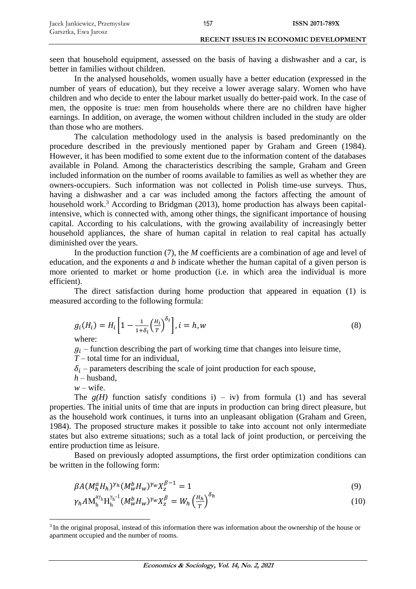| Jacek Jankiewicz, Przemysław | 157 | <b>ISSN 2071-789X</b>                        |
|------------------------------|-----|----------------------------------------------|
| Garsztka, Ewa Jarosz         |     |                                              |
|                              |     | <b>RECENT ISSUES IN ECONOMIC DEVELOPMENT</b> |

seen that household equipment, assessed on the basis of having a dishwasher and a car, is better in families without children.

In the analysed households, women usually have a better education (expressed in the number of years of education), but they receive a lower average salary. Women who have children and who decide to enter the labour market usually do better-paid work. In the case of men, the opposite is true: men from households where there are no children have higher earnings. In addition, on average, the women without children included in the study are older than those who are mothers.

The calculation methodology used in the analysis is based predominantly on the procedure described in the previously mentioned paper by Graham and Green (1984). However, it has been modified to some extent due to the information content of the databases available in Poland. Among the characteristics describing the sample, Graham and Green included information on the number of rooms available to families as well as whether they are owners-occupiers. Such information was not collected in Polish time-use surveys. Thus, having a dishwasher and a car was included among the factors affecting the amount of household work.<sup>3</sup> According to Bridgman (2013), home production has always been capitalintensive, which is connected with, among other things, the significant importance of housing capital. According to his calculations, with the growing availability of increasingly better household appliances, the share of human capital in relation to real capital has actually diminished over the years.

In the production function (7), the *M* coefficients are a combination of age and level of education, and the exponents *a* and *b* indicate whether the human capital of a given person is more oriented to market or home production (i.e. in which area the individual is more efficient).

The direct satisfaction during home production that appeared in equation (1) is measured according to the following formula:

$$
g_i(H_i) = H_i \left[ 1 - \frac{1}{1 + \delta_i} \left( \frac{H_i}{T} \right)^{\delta_i} \right], i = h, w
$$
\n(8)

where:

 $q_i$  – function describing the part of working time that changes into leisure time,

*T* – total time for an individual,

- $\delta_i$  parameters describing the scale of joint production for each spouse,
- $h$  husband,
- $w$  wife.

<u>.</u>

The  $g(H)$  function satisfy conditions i) – iv) from formula (1) and has several properties. The initial units of time that are inputs in production can bring direct pleasure, but as the household work continues, it turns into an unpleasant obligation (Graham and Green, 1984). The proposed structure makes it possible to take into account not only intermediate states but also extreme situations; such as a total lack of joint production, or perceiving the entire production time as leisure.

Based on previously adopted assumptions, the first order optimization conditions can be written in the following form:

$$
\beta A (M_h^a H_h)^{\gamma_h} (M_w^b H_w)^{\gamma_w} X_z^{\beta - 1} = 1
$$
\n(9)

$$
\gamma_h A \mathbf{M}_h^{\mathbf{a}\gamma_h} \mathbf{H}_h^{\gamma_h^{-1}} (M_W^b H_W)^{\gamma_W} X_Z^{\beta} = W_h \left(\frac{H_h}{T}\right)^{\delta_h} \tag{10}
$$

<sup>&</sup>lt;sup>3</sup> In the original proposal, instead of this information there was information about the ownership of the house or apartment occupied and the number of rooms.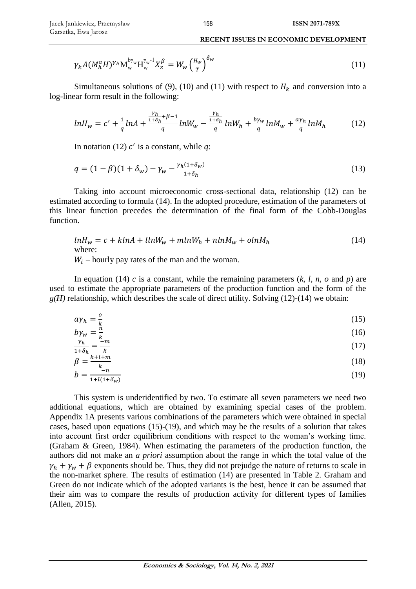$$
\gamma_k A (M_h^{\alpha} H)^{\gamma_h} M_w^{\mathfrak{b}\gamma_w} H_w^{\gamma_w-1} X_Z^{\beta} = W_w \left(\frac{H_w}{T}\right)^{\delta_w} \tag{11}
$$

Simultaneous solutions of (9), (10) and (11) with respect to  $H_k$  and conversion into a log-linear form result in the following:

$$
lnH_w = c' + \frac{1}{q}lnA + \frac{\frac{\gamma_h}{1+\delta_h} + \beta - 1}{q}lnW_w - \frac{\frac{\gamma_h}{1+\delta_h}}{q}lnW_h + \frac{b\gamma_w}{q}lnM_w + \frac{a\gamma_h}{q}lnM_h \tag{12}
$$

In notation (12)  $c'$  is a constant, while  $q$ :

$$
q = (1 - \beta)(1 + \delta_w) - \gamma_w - \frac{\gamma_h(1 + \delta_w)}{1 + \delta_h} \tag{13}
$$

Taking into account microeconomic cross-sectional data, relationship (12) can be estimated according to formula (14). In the adopted procedure, estimation of the parameters of this linear function precedes the determination of the final form of the Cobb-Douglas function.

$$
lnH_w = c + klnA + llnW_w + mlnW_h + nlnM_w + olnM_h
$$
\n(14)

 $W_i$  – hourly pay rates of the man and the woman.

In equation (14) *c* is a constant, while the remaining parameters (*k, l, n, o* and *p*) are used to estimate the appropriate parameters of the production function and the form of the  $g(H)$  relationship, which describes the scale of direct utility. Solving (12)-(14) we obtain:

$$
a\gamma_h = \frac{0}{k} \tag{15}
$$

$$
b\gamma_w = \frac{\ddot{n}}{k} \tag{16}
$$

$$
\frac{\gamma_h}{1+\delta_h} = \frac{-m}{k}
$$
  

$$
\beta = \frac{k+l+m}{k}
$$
 (17)

$$
b = \frac{-n}{1 + l(1 + \delta_w)}\tag{19}
$$

This system is underidentified by two. To estimate all seven parameters we need two additional equations, which are obtained by examining special cases of the problem. Appendix 1A presents various combinations of the parameters which were obtained in special cases, based upon equations (15)-(19), and which may be the results of a solution that takes into account first order equilibrium conditions with respect to the woman's working time. (Graham & Green, 1984). When estimating the parameters of the production function, the authors did not make an *a priori* assumption about the range in which the total value of the  $\gamma_h + \gamma_w + \beta$  exponents should be. Thus, they did not prejudge the nature of returns to scale in the non-market sphere. The results of estimation  $(14)$  are presented in Table 2. Graham and Green do not indicate which of the adopted variants is the best, hence it can be assumed that their aim was to compare the results of production activity for different types of families (Allen, 2015).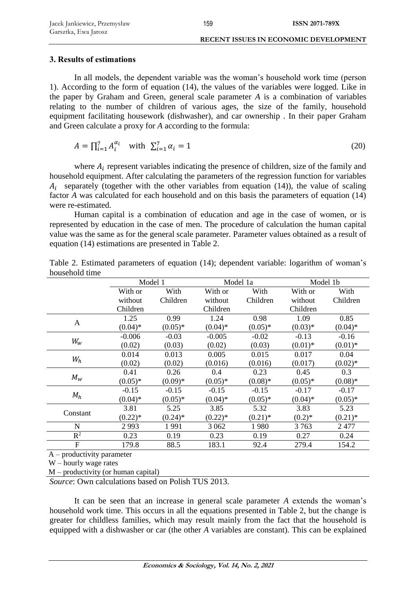# **3. Results of estimations**

In all models, the dependent variable was the woman's household work time (person 1). According to the form of equation (14), the values of the variables were logged. Like in the paper by Graham and Green, general scale parameter *A* is a combination of variables relating to the number of children of various ages, the size of the family, household equipment facilitating housework (dishwasher), and car ownership . In their paper Graham and Green calculate a proxy for *A* according to the formula:

$$
A = \prod_{i=1}^{7} A_i^{\alpha_i} \text{ with } \sum_{i=1}^{7} \alpha_i = 1 \tag{20}
$$

where  $A_i$  represent variables indicating the presence of children, size of the family and household equipment. After calculating the parameters of the regression function for variables  $A_i$  separately (together with the other variables from equation (14)), the value of scaling factor *A* was calculated for each household and on this basis the parameters of equation (14) were re-estimated.

Human capital is a combination of education and age in the case of women, or is represented by education in the case of men. The procedure of calculation the human capital value was the same as for the general scale parameter. Parameter values obtained as a result of equation (14) estimations are presented in Table 2.

|                           | Model 1    |            | Model 1a   |            |            | Model 1b   |
|---------------------------|------------|------------|------------|------------|------------|------------|
|                           | With or    | With       | With or    | With       |            | With       |
|                           | without    | Children   | without    | Children   | without    | Children   |
|                           | Children   |            | Children   |            | Children   |            |
| $\mathbf{A}$              | 1.25       | 0.99       | 1.24       | 0.98       | 1.09       | 0.85       |
|                           | $(0.04)$ * | $(0.05)*$  | $(0.04)$ * | $(0.05)*$  | $(0.03)*$  | $(0.04)$ * |
|                           | $-0.006$   | $-0.03$    | $-0.005$   | $-0.02$    | $-0.13$    | $-0.16$    |
| $W_w$                     | (0.02)     | (0.03)     | (0.02)     | (0.03)     | $(0.01)$ * | $(0.01)$ * |
|                           | 0.014      | 0.013      | 0.005      | 0.015      | 0.017      | 0.04       |
| $W_h$                     | (0.02)     | (0.02)     | (0.016)    | (0.016)    | (0.017)    | $(0.02)*$  |
|                           | 0.41       | 0.26       | 0.4        | 0.23       | 0.45       | 0.3        |
| $M_w$                     | $(0.05)*$  | $(0.09)*$  | $(0.05)*$  | $(0.08)*$  | $(0.05)*$  | $(0.08)*$  |
|                           | $-0.15$    | $-0.15$    | $-0.15$    | $-0.15$    | $-0.17$    | $-0.17$    |
| $M_h$                     | $(0.04)$ * | $(0.05)*$  | $(0.04)$ * | $(0.05)*$  | $(0.04)$ * | $(0.05)*$  |
|                           | 3.81       | 5.25       | 3.85       | 5.32       | 3.83       | 5.23       |
| Constant                  | $(0.22)$ * | $(0.24)$ * | $(0.22)*$  | $(0.21)$ * | $(0.2)*$   | $(0.21)$ * |
| N                         | 2993       | 1991       | 3 0 6 2    | 1980       | 3 7 6 3    | 2477       |
| $R^2$                     | 0.23       | 0.19       | 0.23       | 0.19       | 0.27       | 0.24       |
| $\mathbf{F}$              | 179.8      | 88.5       | 183.1      | 92.4       | 279.4      | 154.2      |
| $\sim$<br>$\cdot$ $\cdot$ |            |            |            |            |            |            |

Table 2. Estimated parameters of equation (14); dependent variable: logarithm of woman's household time

A – productivity parameter

W – hourly wage rates

M – productivity (or human capital)

*Source*: Own calculations based on Polish TUS 2013.

It can be seen that an increase in general scale parameter *A* extends the woman's household work time. This occurs in all the equations presented in Table 2, but the change is greater for childless families, which may result mainly from the fact that the household is equipped with a dishwasher or car (the other *A* variables are constant). This can be explained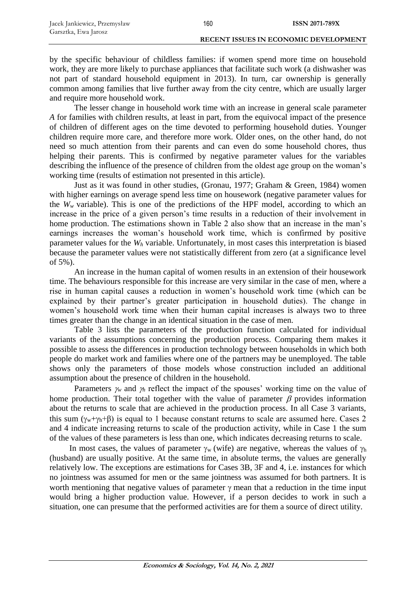by the specific behaviour of childless families: if women spend more time on household work, they are more likely to purchase appliances that facilitate such work (a dishwasher was not part of standard household equipment in 2013). In turn, car ownership is generally common among families that live further away from the city centre, which are usually larger and require more household work.

160

The lesser change in household work time with an increase in general scale parameter *A* for families with children results, at least in part, from the equivocal impact of the presence of children of different ages on the time devoted to performing household duties. Younger children require more care, and therefore more work. Older ones, on the other hand, do not need so much attention from their parents and can even do some household chores, thus helping their parents. This is confirmed by negative parameter values for the variables describing the influence of the presence of children from the oldest age group on the woman's working time (results of estimation not presented in this article).

Just as it was found in other studies, (Gronau, 1977; Graham & Green, 1984) women with higher earnings on average spend less time on housework (negative parameter values for the  $W_w$  variable). This is one of the predictions of the HPF model, according to which an increase in the price of a given person's time results in a reduction of their involvement in home production. The estimations shown in Table 2 also show that an increase in the man's earnings increases the woman's household work time, which is confirmed by positive parameter values for the *W<sup>h</sup>* variable. Unfortunately, in most cases this interpretation is biased because the parameter values were not statistically different from zero (at a significance level of 5%).

An increase in the human capital of women results in an extension of their housework time. The behaviours responsible for this increase are very similar in the case of men, where a rise in human capital causes a reduction in women's household work time (which can be explained by their partner's greater participation in household duties). The change in women's household work time when their human capital increases is always two to three times greater than the change in an identical situation in the case of men.

Table 3 lists the parameters of the production function calculated for individual variants of the assumptions concerning the production process. Comparing them makes it possible to assess the differences in production technology between households in which both people do market work and families where one of the partners may be unemployed. The table shows only the parameters of those models whose construction included an additional assumption about the presence of children in the household.

Parameters  $\gamma_w$  and  $\gamma_h$  reflect the impact of the spouses' working time on the value of home production. Their total together with the value of parameter  $\beta$  provides information about the returns to scale that are achieved in the production process. In all Case 3 variants, this sum  $(\gamma_w + \gamma_h + \beta)$  is equal to 1 because constant returns to scale are assumed here. Cases 2 and 4 indicate increasing returns to scale of the production activity, while in Case 1 the sum of the values of these parameters is less than one, which indicates decreasing returns to scale.

In most cases, the values of parameter  $\gamma_w$  (wife) are negative, whereas the values of  $\gamma_h$ (husband) are usually positive. At the same time, in absolute terms, the values are generally relatively low. The exceptions are estimations for Cases 3B, 3F and 4, i.e. instances for which no jointness was assumed for men or the same jointness was assumed for both partners. It is worth mentioning that negative values of parameter  $\gamma$  mean that a reduction in the time input would bring a higher production value. However, if a person decides to work in such a situation, one can presume that the performed activities are for them a source of direct utility.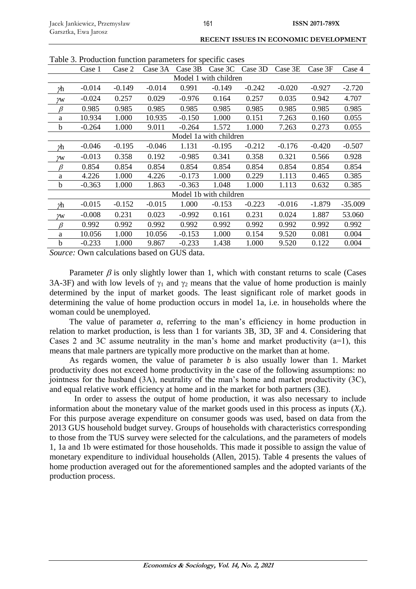| Table 3. Production function parameters for specific cases |          |          |          |          |                        |          |          |          |           |
|------------------------------------------------------------|----------|----------|----------|----------|------------------------|----------|----------|----------|-----------|
|                                                            | Case 1   | Case 2   | Case 3A  | Case 3B  | Case 3C                | Case 3D  | Case 3E  | Case 3F  | Case 4    |
|                                                            |          |          |          |          | Model 1 with children  |          |          |          |           |
| γh                                                         | $-0.014$ | $-0.149$ | $-0.014$ | 0.991    | $-0.149$               | $-0.242$ | $-0.020$ | $-0.927$ | $-2.720$  |
| γw                                                         | $-0.024$ | 0.257    | 0.029    | $-0.976$ | 0.164                  | 0.257    | 0.035    | 0.942    | 4.707     |
| β                                                          | 0.985    | 0.985    | 0.985    | 0.985    | 0.985                  | 0.985    | 0.985    | 0.985    | 0.985     |
| a                                                          | 10.934   | 1.000    | 10.935   | $-0.150$ | 1.000                  | 0.151    | 7.263    | 0.160    | 0.055     |
| b                                                          | $-0.264$ | 1.000    | 9.011    | $-0.264$ | 1.572                  | 1.000    | 7.263    | 0.273    | 0.055     |
|                                                            |          |          |          |          | Model 1a with children |          |          |          |           |
| γh                                                         | $-0.046$ | $-0.195$ | $-0.046$ | 1.131    | $-0.195$               | $-0.212$ | $-0.176$ | $-0.420$ | $-0.507$  |
| γw                                                         | $-0.013$ | 0.358    | 0.192    | $-0.985$ | 0.341                  | 0.358    | 0.321    | 0.566    | 0.928     |
| $\beta$                                                    | 0.854    | 0.854    | 0.854    | 0.854    | 0.854                  | 0.854    | 0.854    | 0.854    | 0.854     |
| a                                                          | 4.226    | 1.000    | 4.226    | $-0.173$ | 1.000                  | 0.229    | 1.113    | 0.465    | 0.385     |
| b                                                          | $-0.363$ | 1.000    | 1.863    | $-0.363$ | 1.048                  | 1.000    | 1.113    | 0.632    | 0.385     |
|                                                            |          |          |          |          | Model 1b with children |          |          |          |           |
| γh                                                         | $-0.015$ | $-0.152$ | $-0.015$ | 1.000    | $-0.153$               | $-0.223$ | $-0.016$ | $-1.879$ | $-35.009$ |
| M                                                          | $-0.008$ | 0.231    | 0.023    | $-0.992$ | 0.161                  | 0.231    | 0.024    | 1.887    | 53.060    |
| β                                                          | 0.992    | 0.992    | 0.992    | 0.992    | 0.992                  | 0.992    | 0.992    | 0.992    | 0.992     |
| a                                                          | 10.056   | 1.000    | 10.056   | $-0.153$ | 1.000                  | 0.154    | 9.520    | 0.081    | 0.004     |
| b                                                          | $-0.233$ | 1.000    | 9.867    | $-0.233$ | 1.438                  | 1.000    | 9.520    | 0.122    | 0.004     |

Table 3. Production function parameters for specific cases

*Source:* Own calculations based on GUS data.

Parameter  $\beta$  is only slightly lower than 1, which with constant returns to scale (Cases 3A-3F) and with low levels of  $\gamma_1$  and  $\gamma_2$  means that the value of home production is mainly determined by the input of market goods. The least significant role of market goods in determining the value of home production occurs in model 1a, i.e. in households where the woman could be unemployed.

The value of parameter *a*, referring to the man's efficiency in home production in relation to market production, is less than 1 for variants 3B, 3D, 3F and 4. Considering that Cases 2 and 3C assume neutrality in the man's home and market productivity  $(a=1)$ , this means that male partners are typically more productive on the market than at home.

As regards women, the value of parameter *b* is also usually lower than 1. Market productivity does not exceed home productivity in the case of the following assumptions: no jointness for the husband (3A), neutrality of the man's home and market productivity (3C), and equal relative work efficiency at home and in the market for both partners (3E).

In order to assess the output of home production, it was also necessary to include information about the monetary value of the market goods used in this process as inputs  $(X<sub>z</sub>)$ . For this purpose average expenditure on consumer goods was used, based on data from the 2013 GUS household budget survey. Groups of households with characteristics corresponding to those from the TUS survey were selected for the calculations, and the parameters of models 1, 1a and 1b were estimated for those households. This made it possible to assign the value of monetary expenditure to individual households (Allen, 2015). Table 4 presents the values of home production averaged out for the aforementioned samples and the adopted variants of the production process.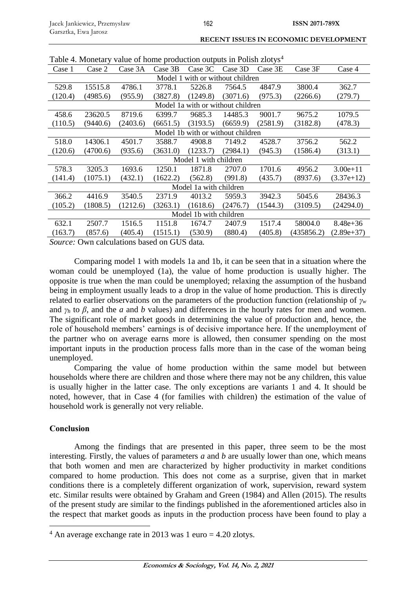| I avic 4. Monetally value of floring production outputs in Formal Ziotys |                       |          |          |                        |                                   |          |            |              |  |  |
|--------------------------------------------------------------------------|-----------------------|----------|----------|------------------------|-----------------------------------|----------|------------|--------------|--|--|
| Case 1                                                                   | Case 2                | Case 3A  | Case 3B  | Case 3C                | Case 3D                           | Case 3E  | Case 3F    | Case 4       |  |  |
| Model 1 with or without children                                         |                       |          |          |                        |                                   |          |            |              |  |  |
| 529.8                                                                    | 15515.8               | 4786.1   | 3778.1   | 5226.8                 | 7564.5                            | 4847.9   | 3800.4     | 362.7        |  |  |
| (120.4)                                                                  | (4985.6)              | (955.9)  | (3827.8) | (1249.8)               | (3071.6)                          | (975.3)  | (2266.6)   | (279.7)      |  |  |
|                                                                          |                       |          |          |                        | Model 1a with or without children |          |            |              |  |  |
| 458.6                                                                    | 23620.5               | 8719.6   | 6399.7   | 9685.3                 | 14485.3                           | 9001.7   | 9675.2     | 1079.5       |  |  |
| (110.5)                                                                  | (9440.6)              | (2403.6) | (6651.5) | (3193.5)               | (6659.9)                          | (2581.9) | (3182.8)   | (478.3)      |  |  |
|                                                                          |                       |          |          |                        | Model 1b with or without children |          |            |              |  |  |
| 518.0                                                                    | 14306.1               | 4501.7   | 3588.7   | 4908.8                 | 7149.2                            | 4528.7   | 3756.2     | 562.2        |  |  |
| (120.6)                                                                  | (4700.6)              | (935.6)  | (3631.0) | (1233.7)               | (2984.1)                          | (945.3)  | (1586.4)   | (313.1)      |  |  |
|                                                                          | Model 1 with children |          |          |                        |                                   |          |            |              |  |  |
| 578.3                                                                    | 3205.3                | 1693.6   | 1250.1   | 1871.8                 | 2707.0                            | 1701.6   | 4956.2     | $3.00e + 11$ |  |  |
| (141.4)                                                                  | (1075.1)              | (432.1)  | (1622.2) | (562.8)                | (991.8)                           | (435.7)  | (8937.6)   | $(3.37e+12)$ |  |  |
|                                                                          |                       |          |          | Model 1a with children |                                   |          |            |              |  |  |
| 366.2                                                                    | 4416.9                | 3540.5   | 2371.9   | 4013.2                 | 5959.3                            | 3942.3   | 5045.6     | 28436.3      |  |  |
| (105.2)                                                                  | (1808.5)              | (1212.6) | (3263.1) | (1618.6)               | (2476.7)                          | (1544.3) | (3109.5)   | (24294.0)    |  |  |
| Model 1b with children                                                   |                       |          |          |                        |                                   |          |            |              |  |  |
| 632.1                                                                    | 2507.7                | 1516.5   | 1151.8   | 1674.7                 | 2407.9                            | 1517.4   | 58004.0    | $8.48e + 36$ |  |  |
| (163.7)                                                                  | (857.6)               | (405.4)  | (1515.1) | (530.9)                | (880.4)                           | (405.8)  | (435856.2) | $(2.89e+37)$ |  |  |
| Course: Own coloulations based on CUR data                               |                       |          |          |                        |                                   |          |            |              |  |  |

Table 4. Monetary value of home production outputs in Polish zlotys<sup>4</sup>

*Source:* Own calculations based on GUS data*.*

Comparing model 1 with models 1a and 1b, it can be seen that in a situation where the woman could be unemployed (1a), the value of home production is usually higher. The opposite is true when the man could be unemployed; relaxing the assumption of the husband being in employment usually leads to a drop in the value of home production. This is directly related to earlier observations on the parameters of the production function (relationship of *γ<sup>w</sup>* and  $\gamma_h$  to  $\beta$ , and the *a* and *b* values) and differences in the hourly rates for men and women. The significant role of market goods in determining the value of production and, hence, the role of household members' earnings is of decisive importance here. If the unemployment of the partner who on average earns more is allowed, then consumer spending on the most important inputs in the production process falls more than in the case of the woman being unemployed.

Comparing the value of home production within the same model but between households where there are children and those where there may not be any children, this value is usually higher in the latter case. The only exceptions are variants 1 and 4. It should be noted, however, that in Case 4 (for families with children) the estimation of the value of household work is generally not very reliable.

# **Conclusion**

1

Among the findings that are presented in this paper, three seem to be the most interesting. Firstly, the values of parameters *a* and *b* are usually lower than one, which means that both women and men are characterized by higher productivity in market conditions compared to home production. This does not come as a surprise, given that in market conditions there is a completely different organization of work, supervision, reward system etc. Similar results were obtained by Graham and Green (1984) and Allen (2015). The results of the present study are similar to the findings published in the aforementioned articles also in the respect that market goods as inputs in the production process have been found to play a

 $4$  An average exchange rate in 2013 was 1 euro = 4.20 zlotys.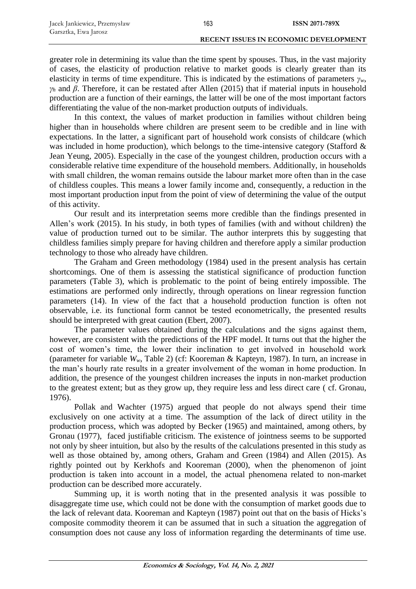greater role in determining its value than the time spent by spouses. Thus, in the vast majority of cases, the elasticity of production relative to market goods is clearly greater than its elasticity in terms of time expenditure. This is indicated by the estimations of parameters  $\gamma_w$ , *γ<sup>h</sup>* and *β*. Therefore, it can be restated after Allen (2015) that if material inputs in household production are a function of their earnings, the latter will be one of the most important factors differentiating the value of the non-market production outputs of individuals.

In this context, the values of market production in families without children being higher than in households where children are present seem to be credible and in line with expectations. In the latter, a significant part of household work consists of childcare (which was included in home production), which belongs to the time-intensive category (Stafford & Jean Yeung, 2005). Especially in the case of the youngest children, production occurs with a considerable relative time expenditure of the household members. Additionally, in households with small children, the woman remains outside the labour market more often than in the case of childless couples. This means a lower family income and, consequently, a reduction in the most important production input from the point of view of determining the value of the output of this activity.

Our result and its interpretation seems more credible than the findings presented in Allen's work (2015). In his study, in both types of families (with and without children) the value of production turned out to be similar. The author interprets this by suggesting that childless families simply prepare for having children and therefore apply a similar production technology to those who already have children.

The Graham and Green methodology (1984) used in the present analysis has certain shortcomings. One of them is assessing the statistical significance of production function parameters (Table 3), which is problematic to the point of being entirely impossible. The estimations are performed only indirectly, through operations on linear regression function parameters (14). In view of the fact that a household production function is often not observable, i.e. its functional form cannot be tested econometrically, the presented results should be interpreted with great caution (Ebert, 2007).

The parameter values obtained during the calculations and the signs against them, however, are consistent with the predictions of the HPF model. It turns out that the higher the cost of women's time, the lower their inclination to get involved in household work (parameter for variable *Ww*, Table 2) (cf: Kooreman & Kapteyn, 1987). In turn, an increase in the man's hourly rate results in a greater involvement of the woman in home production. In addition, the presence of the youngest children increases the inputs in non-market production to the greatest extent; but as they grow up, they require less and less direct care ( cf. Gronau, 1976).

Pollak and Wachter (1975) argued that people do not always spend their time exclusively on one activity at a time. The assumption of the lack of direct utility in the production process, which was adopted by Becker (1965) and maintained, among others, by Gronau (1977), faced justifiable criticism. The existence of jointness seems to be supported not only by sheer intuition, but also by the results of the calculations presented in this study as well as those obtained by, among others, Graham and Green (1984) and Allen (2015). As rightly pointed out by Kerkhofs and Kooreman (2000), when the phenomenon of joint production is taken into account in a model, the actual phenomena related to non-market production can be described more accurately.

Summing up, it is worth noting that in the presented analysis it was possible to disaggregate time use, which could not be done with the consumption of market goods due to the lack of relevant data. Kooreman and Kapteyn (1987) point out that on the basis of Hicks's composite commodity theorem it can be assumed that in such a situation the aggregation of consumption does not cause any loss of information regarding the determinants of time use.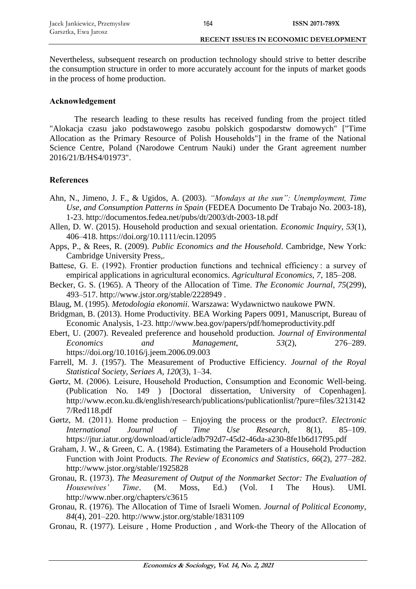Nevertheless, subsequent research on production technology should strive to better describe the consumption structure in order to more accurately account for the inputs of market goods in the process of home production.

164

# **Acknowledgement**

The research leading to these results has received funding from the project titled "Alokacja czasu jako podstawowego zasobu polskich gospodarstw domowych" ["Time Allocation as the Primary Resource of Polish Households"] in the frame of the National Science Centre, Poland (Narodowe Centrum Nauki) under the Grant agreement number 2016/21/B/HS4/01973".

# **References**

- Ahn, N., Jimeno, J. F., & Ugidos, A. (2003). *"Mondays at the sun": Unemployment, Time Use, and Consumption Patterns in Spain* (FEDEA Documento De Trabajo No. 2003-18), 1-23. http://documentos.fedea.net/pubs/dt/2003/dt-2003-18.pdf
- Allen, D. W. (2015). Household production and sexual orientation. *Economic Inquiry*, *53*(1), 406–418. https://doi.org/10.1111/ecin.12095
- Apps, P., & Rees, R. (2009). *Public Economics and the Household*. Cambridge, New York: Cambridge University Press,.
- Battese, G. E. (1992). Frontier production functions and technical efficiency: a survey of empirical applications in agricultural economics. *Agricultural Economics*, *7*, 185–208.
- Becker, G. S. (1965). A Theory of the Allocation of Time. *The Economic Journal*, *75*(299), 493–517. http://www.jstor.org/stable/2228949 .
- Blaug, M. (1995). *Metodologia ekonomii*. Warszawa: Wydawnictwo naukowe PWN.
- Bridgman, B. (2013). Home Productivity. BEA Working Papers 0091, Manuscript, Bureau of Economic Analysis, 1-23. http://www.bea.gov/papers/pdf/homeproductivity.pdf
- Ebert, U. (2007). Revealed preference and household production. *Journal of Environmental Economics and Management*, *53*(2), 276–289. https://doi.org/10.1016/j.jeem.2006.09.003
- Farrell, M. J. (1957). The Measurement of Productive Efficiency. *Journal of the Royal Statistical Society, Seriaes A*, *120*(3), 1–34.
- Gørtz, M. (2006). Leisure, Household Production, Consumption and Economic Well-being. (Publication No. 149 ) [Doctoral dissertation, University of Copenhagen]. http://www.econ.ku.dk/english/research/publications/publicationlist/?pure=files/3213142 7/Red118.pdf
- Gørtz, M. (2011). Home production Enjoying the process or the product?. *Electronic International Journal of Time Use Research,* 8(1), 85–109. https://jtur.iatur.org/download/article/adb792d7-45d2-46da-a230-8fe1b6d17f95.pdf
- Graham, J. W., & Green, C. A. (1984). Estimating the Parameters of a Household Production Function with Joint Products. *The Review of Economics and Statistics*, *66*(2), 277–282. http://www.jstor.org/stable/1925828
- Gronau, R. (1973). *The Measurement of Output of the Nonmarket Sector: The Evaluation of Housewives' Time*. (M. Moss, Ed.) (Vol. I The Hous). UMI. http://www.nber.org/chapters/c3615
- Gronau, R. (1976). The Allocation of Time of Israeli Women. *Journal of Political Economy*, *84*(4), 201–220. http://www.jstor.org/stable/1831109
- Gronau, R. (1977). Leisure , Home Production , and Work-the Theory of the Allocation of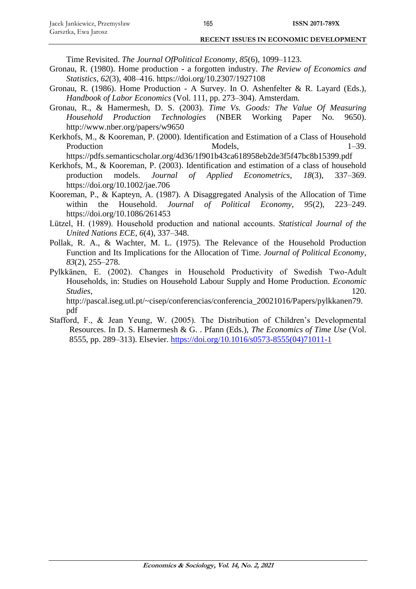Time Revisited. *The Journal OfPolitical Economy*, *85*(6), 1099–1123.

- Gronau, R. (1980). Home production a forgotten industry. *The Review of Economics and Statistics*, *62*(3), 408–416. https://doi.org/10.2307/1927108
- Gronau, R. (1986). Home Production A Survey. In O. Ashenfelter & R. Layard (Eds.), *Handbook of Labor Economics* (Vol. 111, pp. 273–304). Amsterdam.
- Gronau, R., & Hamermesh, D. S. (2003). *Time Vs. Goods: The Value Of Measuring Household Production Technologies* (NBER Working Paper No. 9650). http://www.nber.org/papers/w9650
- Kerkhofs, M., & Kooreman, P. (2000). Identification and Estimation of a Class of Household Production Models, 1–39.

https://pdfs.semanticscholar.org/4d36/1f901b43ca618958eb2de3f5f47bc8b15399.pdf

- Kerkhofs, M., & Kooreman, P. (2003). Identification and estimation of a class of household production models. *Journal of Applied Econometrics*, *18*(3), 337–369. https://doi.org/10.1002/jae.706
- Kooreman, P., & Kapteyn, A. (1987). A Disaggregated Analysis of the Allocation of Time within the Household. *Journal of Political Economy*, *95*(2), 223–249. https://doi.org/10.1086/261453
- Lützel, H. (1989). Household production and national accounts. *Statistical Journal of the United Nations ECE*, *6*(4), 337–348.
- Pollak, R. A., & Wachter, M. L. (1975). The Relevance of the Household Production Function and Its Implications for the Allocation of Time. *Journal of Political Economy*, *83*(2), 255–278.
- Pylkkänen, E. (2002). Changes in Household Productivity of Swedish Two-Adult Households, in: Studies on Household Labour Supply and Home Production. *Economic Studies*, 120.

http://pascal.iseg.utl.pt/~cisep/conferencias/conferencia\_20021016/Papers/pylkkanen79. pdf

Stafford, F., & Jean Yeung, W. (2005). The Distribution of Children's Developmental Resources. In D. S. Hamermesh & G. . Pfann (Eds.), *The Economics of Time Use* (Vol. 8555, pp. 289–313). Elsevier. [https://doi.org/10.1016/s0573-8555\(04\)71011-1](https://doi.org/10.1016/s0573-8555(04)71011-1)